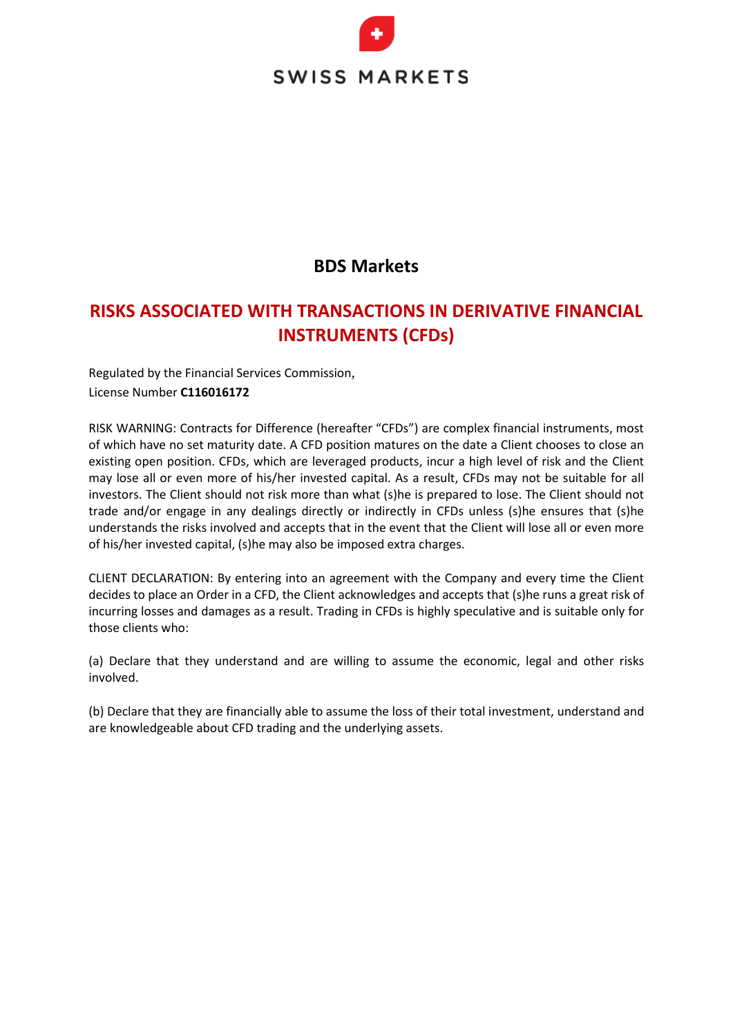

### **BDS Markets**

### **RISKS ASSOCIATED WITH TRANSACTIONS IN DERIVATIVE FINANCIAL INSTRUMENTS (CFDs)**

Regulated by the Financial Services Commission, License Number **C116016172**

RISK WARNING: Contracts for Difference (hereafter "CFDs") are complex financial instruments, most of which have no set maturity date. A CFD position matures on the date a Client chooses to close an existing open position. CFDs, which are leveraged products, incur a high level of risk and the Client may lose all or even more of his/her invested capital. As a result, CFDs may not be suitable for all investors. The Client should not risk more than what (s)he is prepared to lose. The Client should not trade and/or engage in any dealings directly or indirectly in CFDs unless (s)he ensures that (s)he understands the risks involved and accepts that in the event that the Client will lose all or even more of his/her invested capital, (s)he may also be imposed extra charges.

CLIENT DECLARATION: By entering into an agreement with the Company and every time the Client decides to place an Order in a CFD, the Client acknowledges and accepts that (s)he runs a great risk of incurring losses and damages as a result. Trading in CFDs is highly speculative and is suitable only for those clients who:

(a) Declare that they understand and are willing to assume the economic, legal and other risks involved.

(b) Declare that they are financially able to assume the loss of their total investment, understand and are knowledgeable about CFD trading and the underlying assets.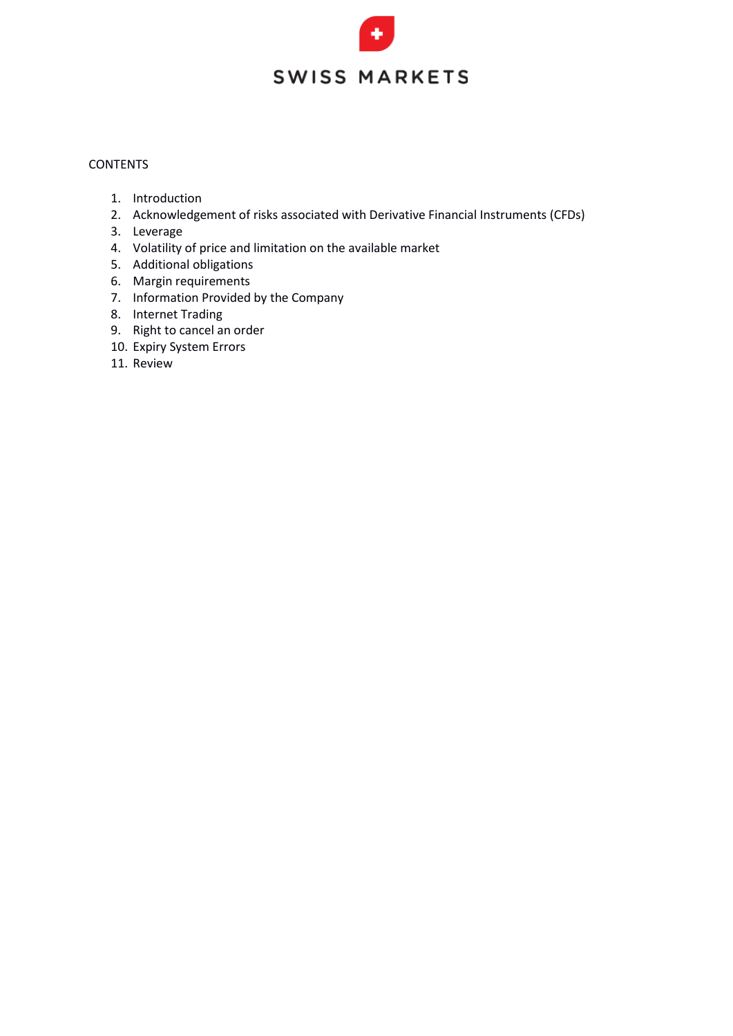### **CONTENTS**

- 1. Introduction
- 2. Acknowledgement of risks associated with Derivative Financial Instruments (CFDs)
- 3. Leverage
- 4. Volatility of price and limitation on the available market
- 5. Additional obligations
- 6. Margin requirements
- 7. Information Provided by the Company
- 8. Internet Trading
- 9. Right to cancel an order
- 10. Expiry System Errors
- 11. Review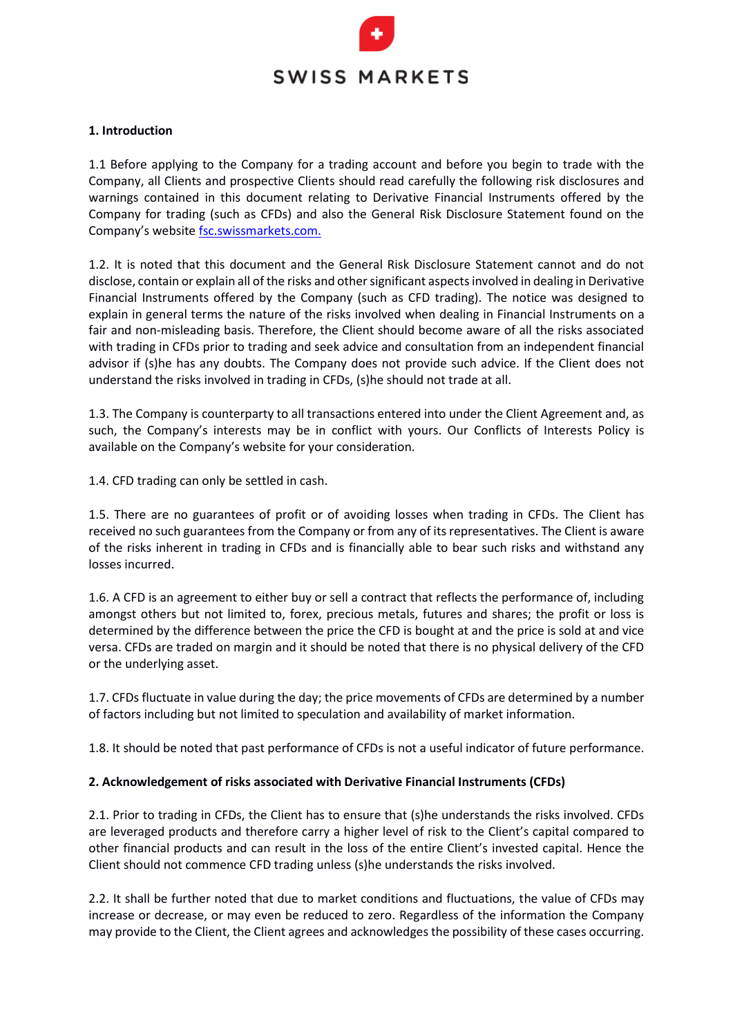### **1. Introduction**

1.1 Before applying to the Company for a trading account and before you begin to trade with the Company, all Clients and prospective Clients should read carefully the following risk disclosures and warnings contained in this document relating to Derivative Financial Instruments offered by the Company for trading (such as CFDs) and also the General Risk Disclosure Statement found on the Company's website fsc.swissmarkets.com.

1.2. It is noted that this document and the General Risk Disclosure Statement cannot and do not disclose, contain or explain all of the risks and other significant aspects involved in dealing in Derivative Financial Instruments offered by the Company (such as CFD trading). The notice was designed to explain in general terms the nature of the risks involved when dealing in Financial Instruments on a fair and non-misleading basis. Therefore, the Client should become aware of all the risks associated with trading in CFDs prior to trading and seek advice and consultation from an independent financial advisor if (s)he has any doubts. The Company does not provide such advice. If the Client does not understand the risks involved in trading in CFDs, (s)he should not trade at all.

1.3. The Company is counterparty to all transactions entered into under the Client Agreement and, as such, the Company's interests may be in conflict with yours. Our Conflicts of Interests Policy is available on the Company's website for your consideration.

1.4. CFD trading can only be settled in cash.

1.5. There are no guarantees of profit or of avoiding losses when trading in CFDs. The Client has received no such guarantees from the Company or from any of its representatives. The Client is aware of the risks inherent in trading in CFDs and is financially able to bear such risks and withstand any losses incurred.

1.6. A CFD is an agreement to either buy or sell a contract that reflects the performance of, including amongst others but not limited to, forex, precious metals, futures and shares; the profit or loss is determined by the difference between the price the CFD is bought at and the price is sold at and vice versa. CFDs are traded on margin and it should be noted that there is no physical delivery of the CFD or the underlying asset.

1.7. CFDs fluctuate in value during the day; the price movements of CFDs are determined by a number of factors including but not limited to speculation and availability of market information.

1.8. It should be noted that past performance of CFDs is not a useful indicator of future performance.

### **2. Acknowledgement of risks associated with Derivative Financial Instruments (CFDs)**

2.1. Prior to trading in CFDs, the Client has to ensure that (s)he understands the risks involved. CFDs are leveraged products and therefore carry a higher level of risk to the Client's capital compared to other financial products and can result in the loss of the entire Client's invested capital. Hence the Client should not commence CFD trading unless (s)he understands the risks involved.

2.2. It shall be further noted that due to market conditions and fluctuations, the value of CFDs may increase or decrease, or may even be reduced to zero. Regardless of the information the Company may provide to the Client, the Client agrees and acknowledges the possibility of these cases occurring.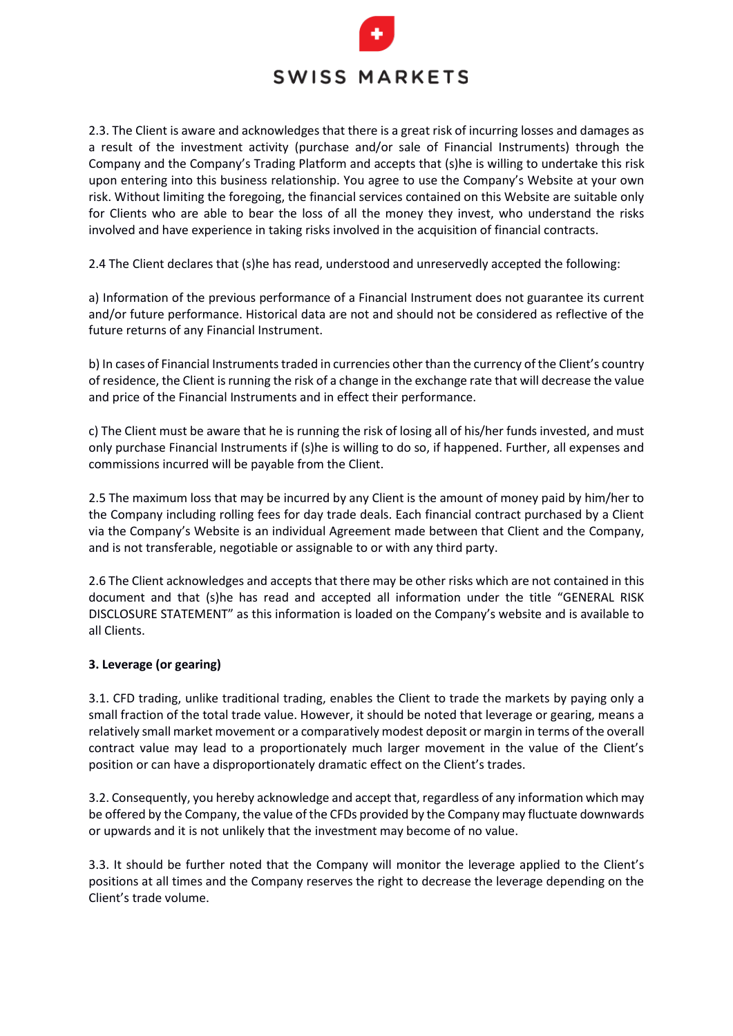2.3. The Client is aware and acknowledges that there is a great risk of incurring losses and damages as a result of the investment activity (purchase and/or sale of Financial Instruments) through the Company and the Company's Trading Platform and accepts that (s)he is willing to undertake this risk upon entering into this business relationship. You agree to use the Company's Website at your own risk. Without limiting the foregoing, the financial services contained on this Website are suitable only for Clients who are able to bear the loss of all the money they invest, who understand the risks involved and have experience in taking risks involved in the acquisition of financial contracts.

2.4 The Client declares that (s)he has read, understood and unreservedly accepted the following:

a) Information of the previous performance of a Financial Instrument does not guarantee its current and/or future performance. Historical data are not and should not be considered as reflective of the future returns of any Financial Instrument.

b) In cases of Financial Instruments traded in currencies other than the currency of the Client's country of residence, the Client is running the risk of a change in the exchange rate that will decrease the value and price of the Financial Instruments and in effect their performance.

c) The Client must be aware that he is running the risk of losing all of his/her funds invested, and must only purchase Financial Instruments if (s)he is willing to do so, if happened. Further, all expenses and commissions incurred will be payable from the Client.

2.5 The maximum loss that may be incurred by any Client is the amount of money paid by him/her to the Company including rolling fees for day trade deals. Each financial contract purchased by a Client via the Company's Website is an individual Agreement made between that Client and the Company, and is not transferable, negotiable or assignable to or with any third party.

2.6 The Client acknowledges and accepts that there may be other risks which are not contained in this document and that (s)he has read and accepted all information under the title "GENERAL RISK DISCLOSURE STATEMENT" as this information is loaded on the Company's website and is available to all Clients.

### **3. Leverage (or gearing)**

3.1. CFD trading, unlike traditional trading, enables the Client to trade the markets by paying only a small fraction of the total trade value. However, it should be noted that leverage or gearing, means a relatively small market movement or a comparatively modest deposit or margin in terms of the overall contract value may lead to a proportionately much larger movement in the value of the Client's position or can have a disproportionately dramatic effect on the Client's trades.

3.2. Consequently, you hereby acknowledge and accept that, regardless of any information which may be offered by the Company, the value of the CFDs provided by the Company may fluctuate downwards or upwards and it is not unlikely that the investment may become of no value.

3.3. It should be further noted that the Company will monitor the leverage applied to the Client's positions at all times and the Company reserves the right to decrease the leverage depending on the Client's trade volume.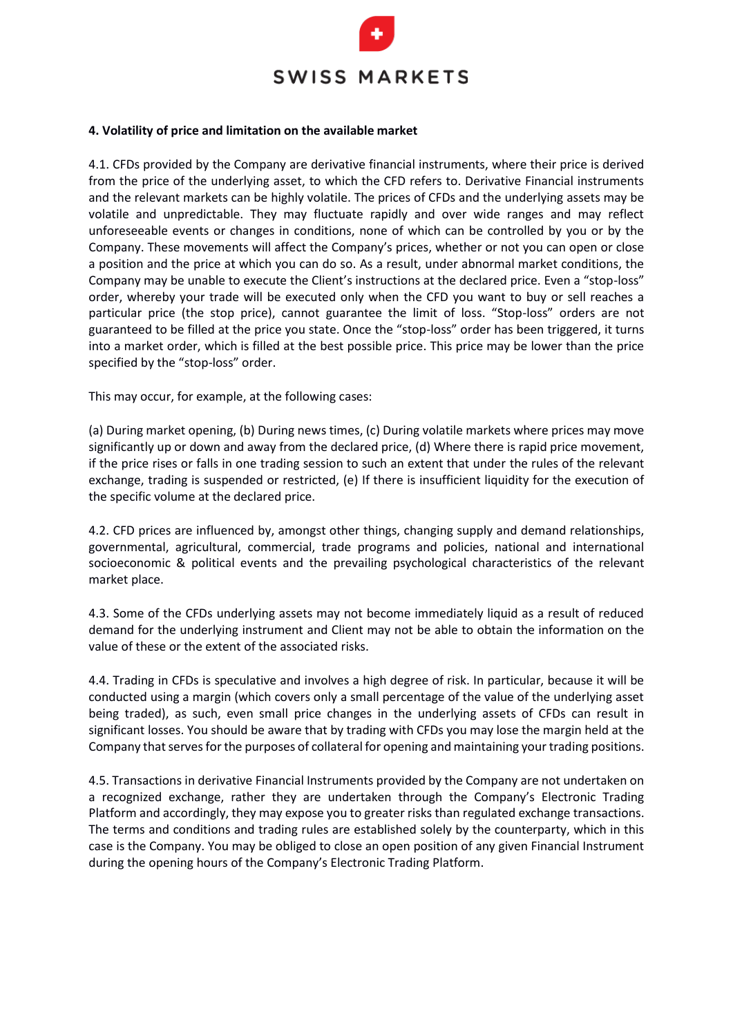

#### **4. Volatility of price and limitation on the available market**

4.1. CFDs provided by the Company are derivative financial instruments, where their price is derived from the price of the underlying asset, to which the CFD refers to. Derivative Financial instruments and the relevant markets can be highly volatile. The prices of CFDs and the underlying assets may be volatile and unpredictable. They may fluctuate rapidly and over wide ranges and may reflect unforeseeable events or changes in conditions, none of which can be controlled by you or by the Company. These movements will affect the Company's prices, whether or not you can open or close a position and the price at which you can do so. As a result, under abnormal market conditions, the Company may be unable to execute the Client's instructions at the declared price. Even a "stop-loss" order, whereby your trade will be executed only when the CFD you want to buy or sell reaches a particular price (the stop price), cannot guarantee the limit of loss. "Stop-loss" orders are not guaranteed to be filled at the price you state. Once the "stop-loss" order has been triggered, it turns into a market order, which is filled at the best possible price. This price may be lower than the price specified by the "stop-loss" order.

This may occur, for example, at the following cases:

(a) During market opening, (b) During news times, (c) During volatile markets where prices may move significantly up or down and away from the declared price, (d) Where there is rapid price movement, if the price rises or falls in one trading session to such an extent that under the rules of the relevant exchange, trading is suspended or restricted, (e) If there is insufficient liquidity for the execution of the specific volume at the declared price.

4.2. CFD prices are influenced by, amongst other things, changing supply and demand relationships, governmental, agricultural, commercial, trade programs and policies, national and international socioeconomic & political events and the prevailing psychological characteristics of the relevant market place.

4.3. Some of the CFDs underlying assets may not become immediately liquid as a result of reduced demand for the underlying instrument and Client may not be able to obtain the information on the value of these or the extent of the associated risks.

4.4. Trading in CFDs is speculative and involves a high degree of risk. In particular, because it will be conducted using a margin (which covers only a small percentage of the value of the underlying asset being traded), as such, even small price changes in the underlying assets of CFDs can result in significant losses. You should be aware that by trading with CFDs you may lose the margin held at the Company that serves for the purposes of collateral for opening and maintaining your trading positions.

4.5. Transactions in derivative Financial Instruments provided by the Company are not undertaken on a recognized exchange, rather they are undertaken through the Company's Electronic Trading Platform and accordingly, they may expose you to greater risks than regulated exchange transactions. The terms and conditions and trading rules are established solely by the counterparty, which in this case is the Company. You may be obliged to close an open position of any given Financial Instrument during the opening hours of the Company's Electronic Trading Platform.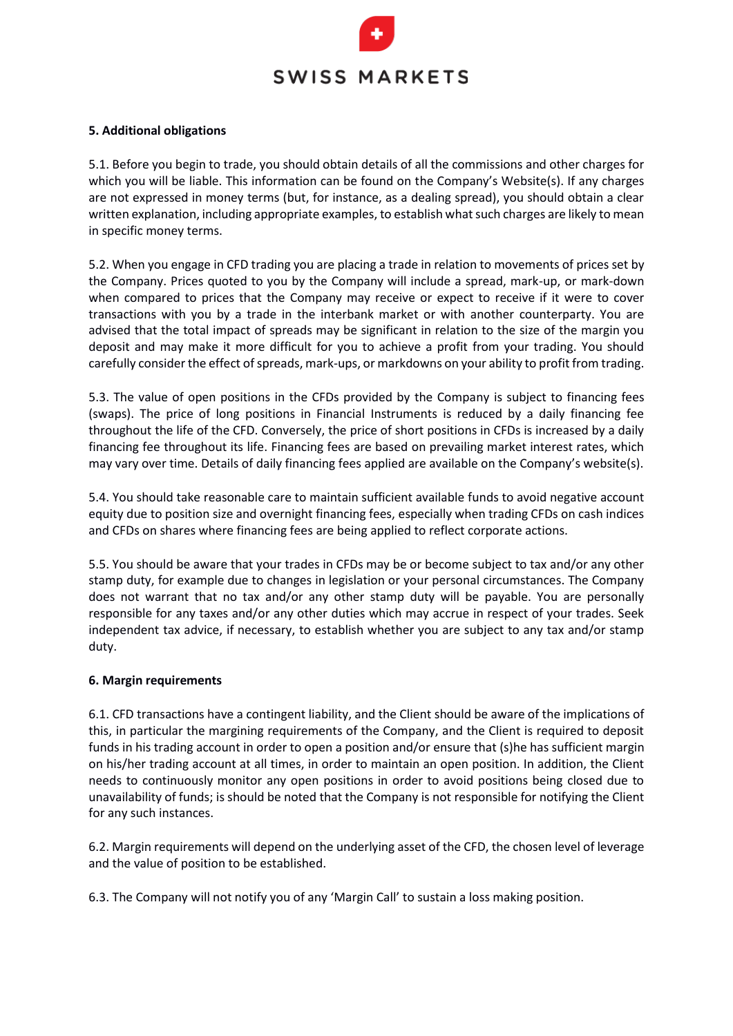### **5. Additional obligations**

5.1. Before you begin to trade, you should obtain details of all the commissions and other charges for which you will be liable. This information can be found on the Company's Website(s). If any charges are not expressed in money terms (but, for instance, as a dealing spread), you should obtain a clear written explanation, including appropriate examples, to establish what such charges are likely to mean in specific money terms.

5.2. When you engage in CFD trading you are placing a trade in relation to movements of prices set by the Company. Prices quoted to you by the Company will include a spread, mark-up, or mark-down when compared to prices that the Company may receive or expect to receive if it were to cover transactions with you by a trade in the interbank market or with another counterparty. You are advised that the total impact of spreads may be significant in relation to the size of the margin you deposit and may make it more difficult for you to achieve a profit from your trading. You should carefully consider the effect of spreads, mark-ups, or markdowns on your ability to profit from trading.

5.3. The value of open positions in the CFDs provided by the Company is subject to financing fees (swaps). The price of long positions in Financial Instruments is reduced by a daily financing fee throughout the life of the CFD. Conversely, the price of short positions in CFDs is increased by a daily financing fee throughout its life. Financing fees are based on prevailing market interest rates, which may vary over time. Details of daily financing fees applied are available on the Company's website(s).

5.4. You should take reasonable care to maintain sufficient available funds to avoid negative account equity due to position size and overnight financing fees, especially when trading CFDs on cash indices and CFDs on shares where financing fees are being applied to reflect corporate actions.

5.5. You should be aware that your trades in CFDs may be or become subject to tax and/or any other stamp duty, for example due to changes in legislation or your personal circumstances. The Company does not warrant that no tax and/or any other stamp duty will be payable. You are personally responsible for any taxes and/or any other duties which may accrue in respect of your trades. Seek independent tax advice, if necessary, to establish whether you are subject to any tax and/or stamp duty.

### **6. Margin requirements**

6.1. CFD transactions have a contingent liability, and the Client should be aware of the implications of this, in particular the margining requirements of the Company, and the Client is required to deposit funds in his trading account in order to open a position and/or ensure that (s)he has sufficient margin on his/her trading account at all times, in order to maintain an open position. In addition, the Client needs to continuously monitor any open positions in order to avoid positions being closed due to unavailability of funds; is should be noted that the Company is not responsible for notifying the Client for any such instances.

6.2. Margin requirements will depend on the underlying asset of the CFD, the chosen level of leverage and the value of position to be established.

6.3. The Company will not notify you of any 'Margin Call' to sustain a loss making position.